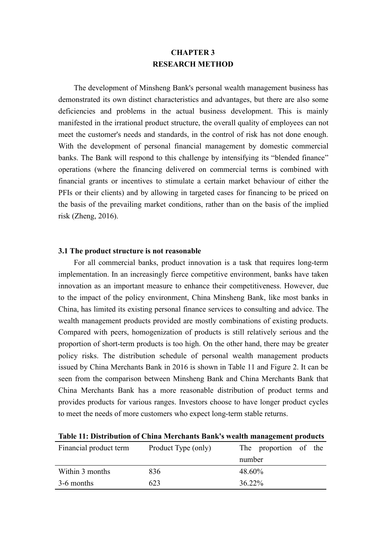# **CHAPTER 3 RESEARCH METHOD**

The development of Minsheng Bank's personal wealth management business has demonstrated its own distinct characteristics and advantages, but there are also some deficiencies and problems in the actual business development. This is mainly manifested in the irrational product structure, the overall quality of employees can not meet the customer's needs and standards, in the control of risk has not done enough. With the development of personal financial management by domestic commercial banks. The Bank will respond to this challenge by intensifying its "blended finance" operations (where the financing delivered on commercial terms is combined with financial grants or incentives to stimulate a certain market behaviour of either the PFIs or their clients) and by allowing in targeted cases for financing to be priced on the basis of the prevailing market conditions, rather than on the basis of the implied risk (Zheng, 2016).

### **3.1 The product structure is not reasonable**

For all commercial banks, product innovation is a task that requires long-term implementation. In an increasingly fierce competitive environment, banks have taken innovation as an important measure to enhance their competitiveness. However, due to the impact of the policy environment, China Minsheng Bank, like most banks in China, has limited its existing personal finance services to consulting and advice. The wealth management products provided are mostly combinations of existing products. Compared with peers, homogenization of products is still relatively serious and the proportion of short-term products is too high. On the other hand, there may be greater policy risks. The distribution schedule of personal wealth management products issued by China Merchants Bank in 2016 is shown in Table 11 and Figure 2. It can be seen from the comparison between Minsheng Bank and China Merchants Bank that China Merchants Bank has a more reasonable distribution of product terms and provides products for various ranges. Investors choose to have longer product cycles to meet the needs of more customers who expect long-term stable returns.

| Financial product term | Product Type (only) | The proportion of the |  |  |
|------------------------|---------------------|-----------------------|--|--|
|                        |                     | number                |  |  |
| Within 3 months        | 836                 | 48.60%                |  |  |
| 3-6 months             | 623                 | 36.22%                |  |  |

**Table 11: Distribution of China Merchants Bank's wealth management products**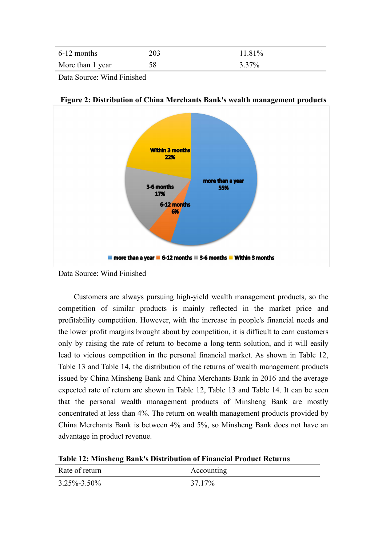| 6-12 months      | 203 | 1.81% |
|------------------|-----|-------|
| More than 1 year | 58  | 3.37% |

Data Source: Wind Finished



**Figure 2: Distribution of China Merchants Bank's wealth management products**

Customers are always pursuing high-yield wealth management products, so the competition of similar products is mainly reflected in the market price and profitability competition. However, with the increase in people's financial needs and the lower profit margins brought about by competition, it is difficult to earn customers only by raising the rate of return to become a long-term solution, and it will easily lead to vicious competition in the personal financial market. As shown in Table 12, Table 13 and Table 14, the distribution of the returns of wealth management products issued by China Minsheng Bank and China Merchants Bank in 2016 and the average expected rate of return are shown in Table 12, Table 13 and Table 14. It can be seen that the personal wealth management products of Minsheng Bank are mostly concentrated at less than 4%. The return on wealth management products provided by China Merchants Bank is between 4% and 5%, so Minsheng Bank does not have an advantage in product revenue.

**Table 12: Minsheng Bank's Distribution of FinancialProduct Returns**

| Rate of return    | Accounting |
|-------------------|------------|
| $3.25\% - 3.50\%$ | 37.17%     |

Data Source: Wind Finished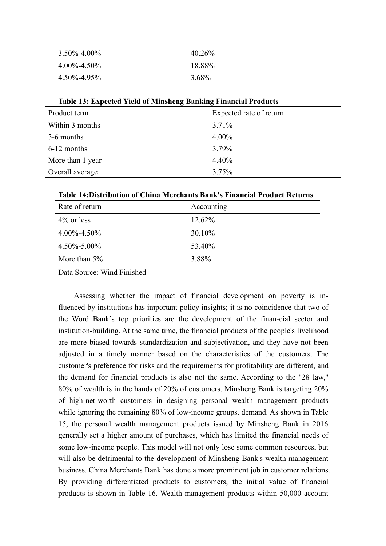| $3.50\% - 4.00\%$ | 40.26% |
|-------------------|--------|
| $4.00\% - 4.50\%$ | 18.88% |
| 4.50%-4.95%       | 3.68%  |

Product term Expected rate of return Within 3 months  $3.71\%$  $3-6$  months  $4.00\%$ 6-12 months 3.79% More than 1 year 4.40% Overall average 3.75%

**Table 13: Expected Yield of Minsheng Banking Financial Products** 

**Table 14:Distribution of China Merchants Bank's Financial Product Returns**

| Rate of return    | Accounting |
|-------------------|------------|
| $4\%$ or less     | 12.62%     |
| $4.00\% - 4.50\%$ | 30.10%     |
| $4.50\% - 5.00\%$ | 53.40%     |
| More than $5\%$   | 3.88%      |

Data Source: Wind Finished

Assessing whether the impact of financial development on poverty is influenced by institutions has important policy insights; it is no coincidence that two of the Word Bank's top priorities are the development of the finan-cial sector and institution-building. At the same time, the financial products of the people's livelihood are more biased towards standardization and subjectivation, and they have not been adjusted in a timely manner based on the characteristics of the customers. The customer's preference for risks and the requirements for profitability are different, and the demand for financial products is also not the same. According to the "28 law," 80% of wealth is in the hands of 20% of customers. Minsheng Bank is targeting 20% of high-net-worth customers in designing personal wealth management products while ignoring the remaining 80% of low-income groups. demand. As shown in Table 15, the personal wealth management products issued by Minsheng Bank in 2016 generally set a higher amount of purchases, which has limited the financial needs of some low-income people. This model will not only lose some common resources, but will also be detrimental to the development of Minsheng Bank's wealth management business. China Merchants Bank has done a more prominent job in customer relations. By providing differentiated products to customers, the initial value of financial products is shown in Table 16. Wealth management products within 50,000 account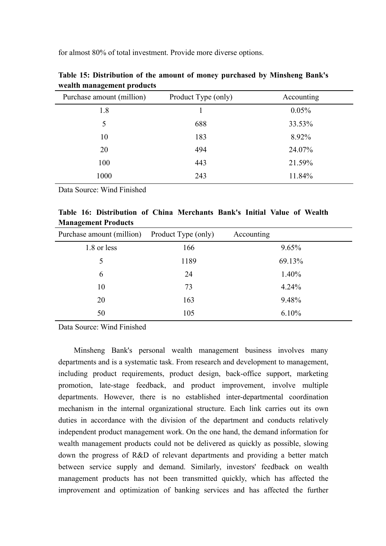for almost 80% of total investment. Provide more diverse options.

| wearen management proudets |                     |            |  |
|----------------------------|---------------------|------------|--|
| Purchase amount (million)  | Product Type (only) | Accounting |  |
| 1.8                        |                     | 0.05%      |  |
| 5                          | 688                 | 33.53%     |  |
| 10                         | 183                 | 8.92%      |  |
| 20                         | 494                 | 24.07%     |  |
| 100                        | 443                 | 21.59%     |  |
| 1000                       | 243                 | 11.84%     |  |
|                            |                     |            |  |

**Table 15: Distribution of the amount of money purchased by Minsheng Bank's wealth management products**

Data Source: Wind Finished

|  | Table 16: Distribution of China Merchants Bank's Initial Value of Wealth |  |  |  |  |  |
|--|--------------------------------------------------------------------------|--|--|--|--|--|
|  | <b>Management Products</b>                                               |  |  |  |  |  |

| and the state of the state of the state of the state of the state of the state of the state of the state of the |                     |            |
|-----------------------------------------------------------------------------------------------------------------|---------------------|------------|
| Purchase amount (million)                                                                                       | Product Type (only) | Accounting |
| 1.8 or less                                                                                                     | 166                 | 9.65%      |
|                                                                                                                 | 1189                | 69.13%     |
| 6                                                                                                               | 24                  | 1.40%      |
| 10                                                                                                              | 73                  | 4.24%      |
| 20                                                                                                              | 163                 | 9.48%      |
| 50                                                                                                              | 105                 | 6.10%      |

Data Source: Wind Finished

Minsheng Bank's personal wealth management business involves many departments and is a systematic task. From research and development to management, including product requirements, product design, back-office support, marketing promotion, late-stage feedback, and product improvement, involve multiple departments. However, there is no established inter-departmental coordination mechanism in the internal organizational structure. Each link carries out its own duties in accordance with the division of the department and conducts relatively independent product management work. On the one hand, the demand information for wealth management products could not be delivered as quickly as possible, slowing down the progress of R&D of relevant departments and providing a better match between service supply and demand. Similarly, investors' feedback on wealth management products has not been transmitted quickly, which has affected the improvement and optimization of banking services and has affected the further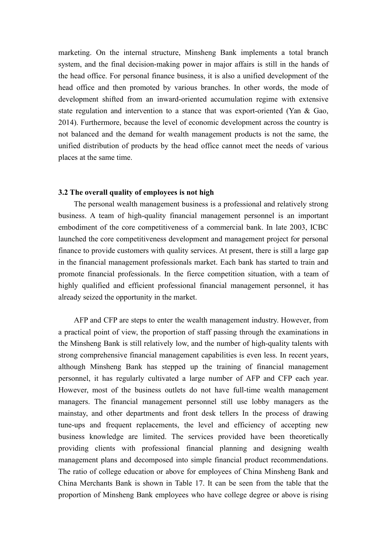marketing. On the internal structure, Minsheng Bank implements a total branch system, and the final decision-making power in major affairs is still in the hands of the head office. For personal finance business, it is also a unified development of the head office and then promoted by various branches. In other words, the mode of development shifted from an inward-oriented accumulation regime with extensive state regulation and intervention to a stance that was export-oriented (Yan & Gao, 2014). Furthermore, because the level of economic development across the country is not balanced and the demand for wealth management products is not the same, the unified distribution of products by the head office cannot meet the needs of various places at the same time.

### **3.2 The overallquality of employees is not high**

The personal wealth management business is a professional and relatively strong business. A team of high-quality financial management personnel is an important embodiment of the core competitiveness of a commercial bank. In late 2003, ICBC launched the core competitiveness development and management project for personal finance to provide customers with quality services. At present, there is still a large gap in the financial management professionals market. Each bank has started to train and promote financial professionals. In the fierce competition situation, with a team of highly qualified and efficient professional financial management personnel, it has already seized the opportunity in the market.<br>AFP and CFP are steps to enter the wealth management industry. However, from

a practical point of view, the proportion of staff passing through the examinations in the Minsheng Bank is still relatively low, and the number of high-quality talents with strong comprehensive financial management capabilities is even less. In recent years, although Minsheng Bank has stepped up the training of financial management personnel, it has regularly cultivated a large number of AFP and CFP each year. However, most of the business outlets do not have full-time wealth management managers. The financial management personnel still use lobby managers as the mainstay, and other departments and front desk tellers In the process of drawing tune-ups and frequent replacements, the level and efficiency of accepting new business knowledge are limited. The services provided have been theoretically providing clients with professional financial planning and designing wealth management plans and decomposed into simple financial product recommendations. The ratio of college education or above for employees of China Minsheng Bank and China Merchants Bank is shown in Table 17. It can be seen from the table that the proportion of Minsheng Bank employees who have college degree or above is rising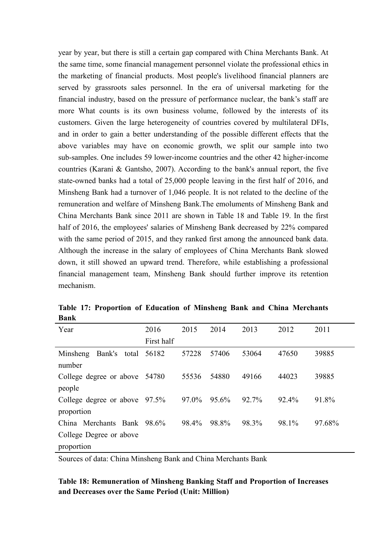year by year, but there is still a certain gap compared with China Merchants Bank.At the same time, some financial management personnel violate the professional ethics in the marketing of financial products. Most people's livelihood financial planners are served by grassroots sales personnel. In the era of universal marketing for the financial industry, based on the pressure of performance nuclear, the bank's staff are more What counts is its own business volume, followed by the interests of its customers. Given the large heterogeneity of countries covered by multilateral DFIs, and in order to gain a better understanding of the possible different effects that the above variables may have on economic growth, we split our sample into two sub-samples. One includes 59 lower-income countries and the other 42 higher-income countries (Karani & Gantsho, 2007). According to the bank's annual report, the five state-owned banks had a total of 25,000 people leaving in the first half of 2016, and Minsheng Bank had a turnover of 1,046 people. It is not related to the decline of the remuneration and welfare of Minsheng Bank.The emoluments of Minsheng Bank and China Merchants Bank since 2011 are shown in Table 18 and Table 19. In the first half of 2016, the employees' salaries of Minsheng Bank decreased by 22% compared with the same period of 2015, and they ranked first among the announced bank data. Although the increase in the salary of employees of China Merchants Bank slowed down, it still showed an upward trend. Therefore, while establishing a professional financial management team, Minsheng Bank should further improve its retention mechanism.

| Year                             | 2016       | 2015  | 2014  | 2013  | 2012  | 2011   |
|----------------------------------|------------|-------|-------|-------|-------|--------|
|                                  | First half |       |       |       |       |        |
| Bank's total 56182<br>Minsheng   |            | 57228 | 57406 | 53064 | 47650 | 39885  |
| number                           |            |       |       |       |       |        |
| College degree or above 54780    |            | 55536 | 54880 | 49166 | 44023 | 39885  |
| people                           |            |       |       |       |       |        |
| College degree or above $97.5\%$ |            | 97.0% | 95.6% | 92.7% | 92.4% | 91.8%  |
| proportion                       |            |       |       |       |       |        |
| China Merchants Bank 98.6%       |            | 98.4% | 98.8% | 98.3% | 98.1% | 97.68% |
| College Degree or above          |            |       |       |       |       |        |
| proportion                       |            |       |       |       |       |        |

**Table 17: Proportion of Education of Minsheng Bank and China Merchants Bank**

Sources of data: China Minsheng Bank and China Merchants Bank

## **Table 18: Remuneration of Minsheng Banking Staff and Proportion of Increases and Decreases over the Same Period (Unit: Million)**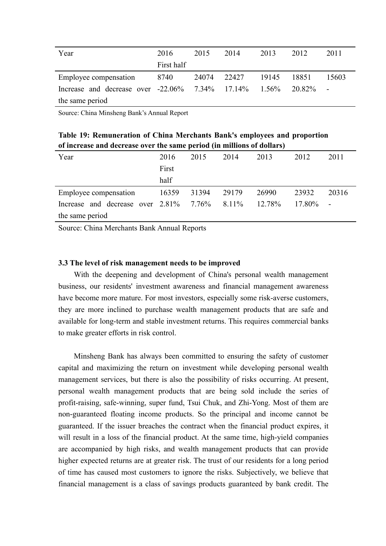| Year                                               | 2016       | 2015  | 2014  | 2013     | 2012   | 2011  |
|----------------------------------------------------|------------|-------|-------|----------|--------|-------|
|                                                    | First half |       |       |          |        |       |
| Employee compensation                              | 8740       | 24074 | 22427 | 19145    | 18851  | 15603 |
| Increase and decrease over $-22.06\%$ 7.34% 17.14% |            |       |       | $1.56\%$ | 20.82% |       |
| the same period                                    |            |       |       |          |        |       |

Source: China Minsheng Bank's Annual Report

**Table 19: Remuneration of China Merchants Bank's employees and proportion of increase and decrease over the same period (in millions ofdollars)**

| Year                                      | 2016  | 2015  | 2014  | 2013   | 2012   | 2011  |
|-------------------------------------------|-------|-------|-------|--------|--------|-------|
|                                           | First |       |       |        |        |       |
|                                           | half  |       |       |        |        |       |
| Employee compensation                     | 16359 | 31394 | 29179 | 26990  | 23932  | 20316 |
| Increase and decrease over $2.81\%$ 7.76% |       |       | 8.11% | 12.78% | 17.80% |       |
| the same period                           |       |       |       |        |        |       |

Source: China Merchants Bank Annual Reports

## **3.3 The level of risk management needs to be improved**

With the deepening and development of China's personal wealth management business, our residents' investment awareness and financial management awareness have become more mature. For most investors, especially some risk-averse customers, they are more inclined to purchase wealth management products that are safe and available for long-term and stable investment returns. This requires commercial banks to make greater efforts in risk control.

Minsheng Bank has always been committed to ensuring the safety of customer capital and maximizing the return on investment while developing personal wealth management services, but there is also the possibility of risks occurring. At present, personal wealth management products thatare being sold include the series of profit-raising, safe-winning, super fund, Tsui Chuk, and Zhi-Yong. Most of them are non-guaranteed floating income products. So the principal and income cannot be guaranteed. If the issuer breaches the contract when the financial product expires, it will result in a loss of the financial product. At the same time, high-yield companies are accompanied by high risks, and wealth management products that can provide higher expected returns are at greater risk. The trust of our residents for a long period of time has caused most customers to ignore the risks. Subjectively, we believe that financial management is a class of savings products guaranteed by bank credit. The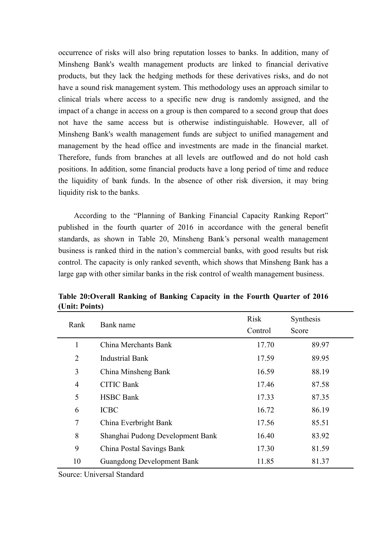occurrence of risks will also bring reputation losses to banks. In addition, many of Minsheng Bank's wealth management products are linked to financial derivative products, but they lack the hedging methods for these derivatives risks, and do not have a sound risk management system. This methodology uses an approach similar to clinical trials where access to a specific new drug is randomly assigned, and the impact of a change in access on a group is then compared to a second group that does not have the same access but is otherwise indistinguishable. However, all of Minsheng Bank's wealth management funds are subject to unified management and management by the head office and investments are made in the financial market. Therefore, funds from branches at all levels are outflowed and do not hold cash positions. In addition, some financial products have a long period of time and reduce the liquidity of bank funds. In the absence of other risk diversion, it may bring liquidity risk to the banks.

According to the "Planning of Banking Financial Capacity Ranking Report" published in the fourth quarter of 2016 in accordance with the general benefit standards, as shown in Table 20, Minsheng Bank's personal wealth management business is ranked third in the nation's commercial banks, with good results but risk control. The capacity is only ranked seventh, which shows that Minsheng Bank has a large gap with other similar banks in the risk control of wealth management business.

| Rank           | Bank name                         | Risk    | Synthesis |
|----------------|-----------------------------------|---------|-----------|
|                |                                   | Control | Score     |
| 1              | China Merchants Bank              | 17.70   | 89.97     |
| $\overline{2}$ | <b>Industrial Bank</b>            | 17.59   | 89.95     |
| $\overline{3}$ | China Minsheng Bank               | 16.59   | 88.19     |
| $\overline{4}$ | <b>CITIC Bank</b>                 | 17.46   | 87.58     |
| 5              | <b>HSBC</b> Bank                  | 17.33   | 87.35     |
| 6              | <b>ICBC</b>                       | 16.72   | 86.19     |
| $\tau$         | China Everbright Bank             | 17.56   | 85.51     |
| 8              | Shanghai Pudong Development Bank  | 16.40   | 83.92     |
| 9              | China Postal Savings Bank         | 17.30   | 81.59     |
| 10             | <b>Guangdong Development Bank</b> | 11.85   | 81.37     |

**Table 20:Overall Ranking of Banking Capacity in the Fourth Quarter of 2016 (Unit: Points)**

Source: Universal Standard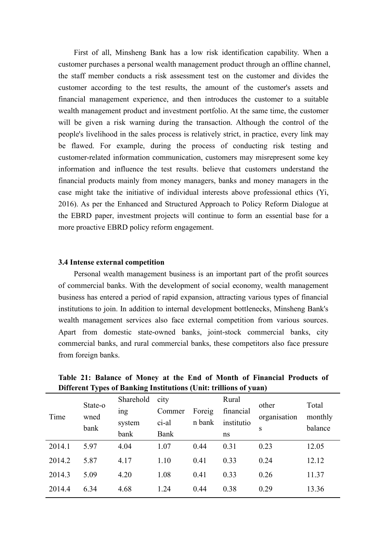First of all, Minsheng Bank has a low risk identification capability. When a customer purchases a personal wealth management product through an offline channel, the staff member conducts a risk assessment test on the customer and divides the customer according to the test results, the amount of the customer's assets and financial management experience, and then introduces the customer to a suitable wealth management product and investment portfolio. At the same time, the customer will be given a risk warning during the transaction. Although the control of the people's livelihood in the sales process is relatively strict, in practice, every link may be flawed. For example, during the process of conducting risk testing and customer-related information communication, customers may misrepresent some key information and influence the test results. believe that customers understand the financial products mainly from money managers, banks and money managers in the case might take the initiative of individual interests above professional ethics (Yi, 2016). As per the Enhanced and Structured Approach to Policy Reform Dialogue at the EBRD paper, investment projects will continue to form an essential base for a more proactive EBRD policy reform engagement.

## **3.4 Intense external competition**

Personal wealth management business is an important part of the profit sources of commercial banks. With the development of social economy, wealth management business has entered a period of rapid expansion, attracting various types of financial institutions to join. In addition to internal development bottlenecks, Minsheng Bank's wealth management services also face external competition from various sources. Apart from domestic state-owned banks, joint-stock commercial banks, city commercial banks, and rural commercial banks, these competitors also face pressure from foreign banks.

|        | ັັ                      | o               |        |                  | $\bullet$  | $\overline{\phantom{a}}$ |                    |
|--------|-------------------------|-----------------|--------|------------------|------------|--------------------------|--------------------|
| Time   | State-o<br>wned<br>bank | Sharehold       | city   |                  | Rural      | other<br>organisation    | Total              |
|        |                         | <sub>1</sub> ng | Commer | Foreig<br>n bank | financial  |                          | monthly<br>balance |
|        |                         | system          | ci-al  |                  | institutio |                          |                    |
|        |                         | bank            | Bank   |                  | ns         | S                        |                    |
| 2014.1 | 5.97                    | 4.04            | 1.07   | 0.44             | 0.31       | 0.23                     | 12.05              |
| 2014.2 | 5.87                    | 4.17            | 1.10   | 0.41             | 0.33       | 0.24                     | 12.12              |
| 2014.3 | 5.09                    | 4.20            | 1.08   | 0.41             | 0.33       | 0.26                     | 11.37              |
| 2014.4 | 6.34                    | 4.68            | 1.24   | 0.44             | 0.38       | 0.29                     | 13.36              |
|        |                         |                 |        |                  |            |                          |                    |

**Table 21: Balance of Money at the End of Month of Financial Products of Different Types ofBanking Institutions (Unit: trillions of yuan)**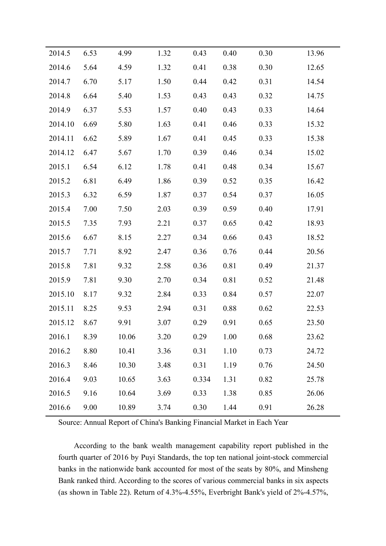| 2014.5      | 6.53 | 4.99  | 1.32 | 0.43  | 0.40 | 0.30 | 13.96 |
|-------------|------|-------|------|-------|------|------|-------|
| 2014.6      | 5.64 | 4.59  | 1.32 | 0.41  | 0.38 | 0.30 | 12.65 |
| 2014.7      | 6.70 | 5.17  | 1.50 | 0.44  | 0.42 | 0.31 | 14.54 |
| 2014.8      | 6.64 | 5.40  | 1.53 | 0.43  | 0.43 | 0.32 | 14.75 |
| 2014.9      | 6.37 | 5.53  | 1.57 | 0.40  | 0.43 | 0.33 | 14.64 |
| 2014.10     | 6.69 | 5.80  | 1.63 | 0.41  | 0.46 | 0.33 | 15.32 |
| 2014.11     | 6.62 | 5.89  | 1.67 | 0.41  | 0.45 | 0.33 | 15.38 |
| 2014.12     | 6.47 | 5.67  | 1.70 | 0.39  | 0.46 | 0.34 | 15.02 |
| 2015.1      | 6.54 | 6.12  | 1.78 | 0.41  | 0.48 | 0.34 | 15.67 |
| 2015.2      | 6.81 | 6.49  | 1.86 | 0.39  | 0.52 | 0.35 | 16.42 |
| 2015.3      | 6.32 | 6.59  | 1.87 | 0.37  | 0.54 | 0.37 | 16.05 |
| 2015.4      | 7.00 | 7.50  | 2.03 | 0.39  | 0.59 | 0.40 | 17.91 |
| 2015.5      | 7.35 | 7.93  | 2.21 | 0.37  | 0.65 | 0.42 | 18.93 |
| 2015.6      | 6.67 | 8.15  | 2.27 | 0.34  | 0.66 | 0.43 | 18.52 |
| 2015.7      | 7.71 | 8.92  | 2.47 | 0.36  | 0.76 | 0.44 | 20.56 |
| 2015.8      | 7.81 | 9.32  | 2.58 | 0.36  | 0.81 | 0.49 | 21.37 |
| 2015.9      | 7.81 | 9.30  | 2.70 | 0.34  | 0.81 | 0.52 | 21.48 |
| 2015.10     | 8.17 | 9.32  | 2.84 | 0.33  | 0.84 | 0.57 | 22.07 |
| 2015.11     | 8.25 | 9.53  | 2.94 | 0.31  | 0.88 | 0.62 | 22.53 |
| 2015.12     | 8.67 | 9.91  | 3.07 | 0.29  | 0.91 | 0.65 | 23.50 |
| 2016.1 8.39 |      | 10.06 | 3.20 | 0.29  | 1.00 | 0.68 | 23.62 |
| 2016.2      | 8.80 | 10.41 | 3.36 | 0.31  | 1.10 | 0.73 | 24.72 |
| 2016.3      | 8.46 | 10.30 | 3.48 | 0.31  | 1.19 | 0.76 | 24.50 |
| 2016.4      | 9.03 | 10.65 | 3.63 | 0.334 | 1.31 | 0.82 | 25.78 |
| 2016.5      | 9.16 | 10.64 | 3.69 | 0.33  | 1.38 | 0.85 | 26.06 |
| 2016.6      | 9.00 | 10.89 | 3.74 | 0.30  | 1.44 | 0.91 | 26.28 |
|             |      |       |      |       |      |      |       |

Source: Annual Report of China's Banking Financial Market in Each Year

According to the bank wealth management capability report published in the fourth quarter of 2016 by Puyi Standards, the top ten national joint-stock commercial banks in the nationwide bank accounted for most of the seats by 80%, and Minsheng Bank ranked third. According to the scores of various commercial banks in six aspects (as shown in Table 22). Return of 4.3%-4.55%, Everbright Bank's yield of 2%-4.57%,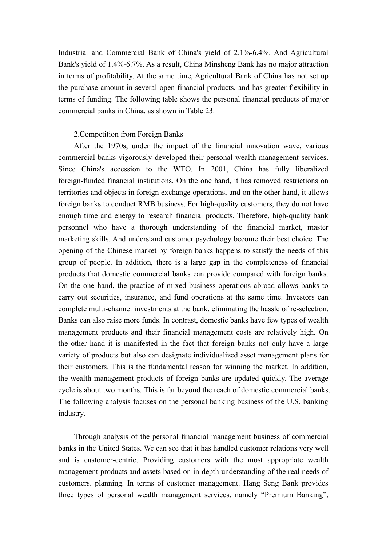Industrial and Commercial Bank of China's yield of 2.1%-6.4%. And Agricultural Bank's yield of 1.4%-6.7%. As a result, China Minsheng Bank has no major attraction in terms of profitability. At the same time, Agricultural Bank of China has not set up the purchase amount in several open financial products, and has greater flexibility in terms of funding. The following table shows the personal financial products of major commercial banks in China, as shown in Table 23.

### 2.Competition from Foreign Banks

After the 1970s, under the impact of the financial innovation wave, various commercial banks vigorously developed their personal wealth management services. Since China's accession to the WTO. In 2001, China has fully liberalized foreign-funded financial institutions. On the one hand, it has removed restrictions on territories and objects in foreign exchange operations, and on the other hand, it allows foreign banks to conduct RMB business. For high-quality customers, they do not have enough time and energy to research financial products. Therefore, high-quality bank personnel who have a thorough understanding of the financial market, master marketing skills. And understand customer psychology become their best choice. The opening of the Chinese market by foreign banks happens to satisfy the needs of this group of people. In addition, there is a large gap in the completeness of financial products that domestic commercial banks can provide compared with foreign banks. On the one hand, the practice of mixed business operations abroad allows banks to carry out securities, insurance, and fund operations at the same time. Investors can complete multi-channel investments at the bank, eliminating the hassle of re-selection. Banks can also raise more funds. In contrast, domestic banks have few types of wealth management products and their financial management costs are relatively high. On the other hand it is manifested in the fact that foreign banks not only have a large variety of products but also can designate individualized asset management plans for their customers. This is the fundamental reason for winning the market. In addition, the wealth management products of foreign banks are updated quickly. The average cycle is about two months. This is far beyond the reach of domestic commercial banks. The following analysis focuses on the personal banking business of the U.S. banking industry.

Through analysis of the personal financial management business of commercial banks in the United States. We can see that it has handled customer relations very well and is customer-centric. Providing customers with the most appropriate wealth management products and assets based on in-depth understanding of the real needs of customers. planning. In terms of customer management. Hang Seng Bank provides three types of personal wealth management services, namely "Premium Banking",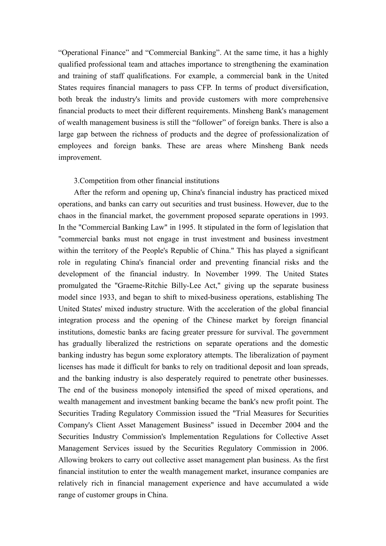"Operational Finance" and "Commercial Banking". At the same time, it has a highly qualified professional team and attaches importance to strengthening the examination and training of staff qualifications. For example, a commercial bank in the United States requires financial managers to pass CFP. In terms of product diversification, both break the industry's limits and provide customers with more comprehensive financial products to meet their different requirements. Minsheng Bank's management of wealth management business is still the "follower" of foreign banks. There is also a large gap between the richness of products and the degree of professionalization of employees and foreign banks. These are areas where Minsheng Bank needs improvement.

## 3.Competition from other financial institutions

After the reform and opening up, China's financial industry has practiced mixed operations, and banks can carry out securities and trust business. However, due to the chaos in the financial market, the government proposed separate operations in 1993. In the "Commercial Banking Law" in 1995. It stipulated in the form of legislation that "commercial banks must not engage in trust investment and business investment within the territory of the People's Republic of China." This has played a significant role in regulating China's financial order and preventing financial risks and the development of the financial industry. In November 1999. The United States promulgated the "Graeme-Ritchie Billy-Lee Act," giving up the separate business model since 1933, and began to shift to mixed-business operations, establishing The United States' mixed industry structure. With the acceleration of the global financial integration process and the opening of the Chinese market by foreign financial institutions, domestic banks are facing greater pressure for survival. The government has gradually liberalized the restrictions on separate operations and the domestic banking industry has begun some exploratory attempts. The liberalization of payment licenses has made it difficult for banks to rely on traditional deposit and loan spreads, and the banking industry is also desperately required to penetrate other businesses. The end of the business monopoly intensified the speed of mixed operations, and wealth management and investment banking became the bank's new profit point. The Securities Trading Regulatory Commission issued the "Trial Measures for Securities Company's Client Asset Management Business" issued in December 2004 and the Securities Industry Commission's Implementation Regulations for Collective Asset Management Services issued by the Securities Regulatory Commission in 2006. Allowing brokers to carry out collective asset management plan business. As the first financial institution to enter the wealth management market, insurance companies are relatively rich in financial management experience and have accumulated a wide range of customer groups in China.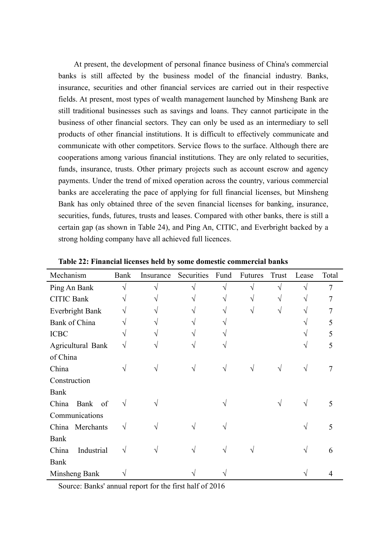At present, the development of personal finance business of China's commercial banks is stillaffected by the business model of the financial industry. Banks, insurance, securities and other financial services are carried out in their respective fields. At present, most types of wealth management launched by Minsheng Bank are still traditional businesses such as savings and loans. They cannot participate in the business of other financial sectors. They can only be used as an intermediary to sell products of other financial institutions. It is difficult to effectively communicate and communicate with other competitors. Service flows to the surface. Although there are cooperations among various financial institutions. They are only related to securities, funds, insurance, trusts. Other primary projects such as account escrow and agency payments. Under the trend of mixed operation across the country, various commercial banks are accelerating the pace of applying for full financial licenses, but Minsheng Bank has only obtained three of the seven financial licenses for banking, insurance, securities, funds, futures, trusts and leases. Compared with other banks, there is still a certain gap (as shown in Table 24), and Ping An, CITIC, and Everbright backed by a strong holding company have all achieved full licences.

| Mechanism           | Bank       | Insurance  | Securities | Fund       | Futures    | Trust     | Lease      | Total          |
|---------------------|------------|------------|------------|------------|------------|-----------|------------|----------------|
| Ping An Bank        | $\sqrt{}$  | $\sqrt{ }$ | $\sqrt{ }$ | $\sqrt{ }$ | $\sqrt{ }$ | $\sqrt{}$ | $\sqrt{}$  | $\overline{7}$ |
| <b>CITIC Bank</b>   |            |            |            | V          | V          |           |            | 7              |
| Everbright Bank     | V          | $\sqrt{ }$ |            |            | $\sqrt{}$  | V         |            | 7              |
| Bank of China       |            | V          |            |            |            |           |            | 5              |
| <b>ICBC</b>         |            | V          | V          |            |            |           |            | 5              |
| Agricultural Bank   | V          | ٦          | V          | N          |            |           |            | 5              |
| of China            |            |            |            |            |            |           |            |                |
| China               | V          | N          | $\sqrt{}$  | $\sqrt{ }$ | $\sqrt{}$  | V         | V          | 7              |
| Construction        |            |            |            |            |            |           |            |                |
| Bank                |            |            |            |            |            |           |            |                |
| Bank of<br>China    | $\sqrt{ }$ |            |            |            |            | V         | $\sqrt{ }$ | 5              |
| Communications      |            |            |            |            |            |           |            |                |
| China Merchants     | $\sqrt{}$  |            |            |            |            |           | V          | 5              |
| Bank                |            |            |            |            |            |           |            |                |
| China<br>Industrial | $\sqrt{}$  |            |            |            |            |           | V          | 6              |
| Bank                |            |            |            |            |            |           |            |                |
| Minsheng Bank       | V          |            |            |            |            |           |            | 4              |

**Table 22: Financial licenses held by some domestic commercial banks**

Source: Banks' annual report for the first half of 2016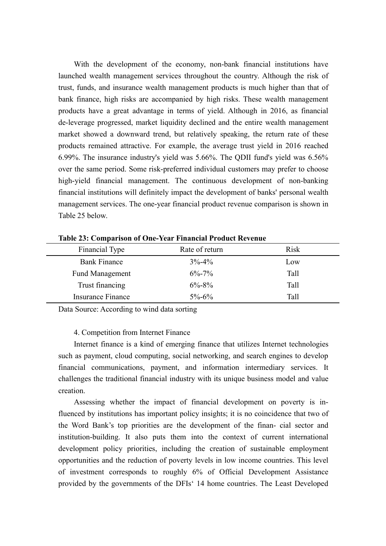With the development of the economy, non-bank financial institutions have launched wealth management services throughout the country.Although the risk of trust, funds, and insurance wealth management products is much higher than that of bank finance, high risks are accompanied by high risks. These wealth management products have a great advantage in terms of yield. Although in 2016, as financial de-leverage progressed, market liquidity declined and the entire wealth management market showed a downward trend, but relatively speaking, the return rate of these products remained attractive. For example, the average trust yield in 2016 reached 6.99%. The insurance industry's yield was 5.66%. The QDII fund's yield was 6.56% over the same period. Some risk-preferred individual customers may prefer to choose high-yield financial management. The continuous development of non-banking financial institutions will definitely impact the development of banks' personal wealth management services. The one-year financial product revenue comparison is shown in Table 25 below.

| Financial Type           | Rate of return | <b>Risk</b> |
|--------------------------|----------------|-------------|
| <b>Bank Finance</b>      | $3\% - 4\%$    | Low         |
| <b>Fund Management</b>   | $6\% - 7\%$    | Tall        |
| Trust financing          | $6\% - 8\%$    | Tall        |
| <b>Insurance Finance</b> | $5\% - 6\%$    | Tall        |

**Table 23: Comparison of One-Year Financial Product Revenue**

Data Source: According to wind data sorting

### 4. Competition from Internet Finance

Internet finance is a kind of emerging finance that utilizes Internet technologies such as payment, cloud computing, social networking, and search engines to develop financial communications, payment, and information intermediary services. It challenges the traditional financial industry with its unique business model and value creation.

Assessing whether the impact of financial development on poverty is influenced by institutions has important policy insights; it is no coincidence that two of the Word Bank's top priorities are the development of the finan- cial sector and institution-building. It also puts them into the context of current international development policy priorities, including the creation of sustainable employment opportunities and the reduction of poverty levels in low income countries. This level of investment corresponds to roughly 6% of Official Development Assistance provided by the governments of the DFIs' 14 home countries. The Least Developed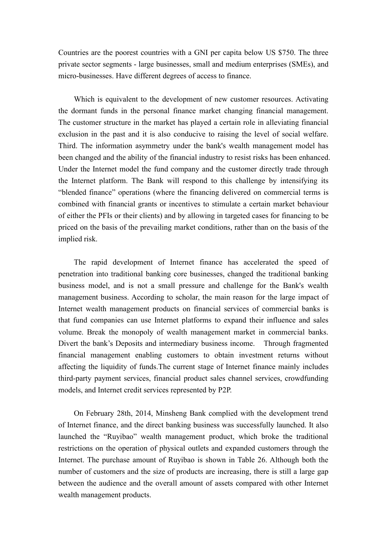Countries are the poorest countries with a GNI per capita below US \$750. The three private sector segments - large businesses, small and medium enterprises (SMEs), and micro-businesses. Have different degrees of access to finance.

Which is equivalent to the development of new customer resources. Activating the dormant funds in the personal finance market changing financial management. The customer structure in the market has played a certain role in alleviating financial exclusion in the past and it is also conducive to raising the level of social welfare. Third. The information asymmetry under the bank's wealth management model has been changed and the ability of the financial industry to resist risks has been enhanced. Under the Internet model the fund company and the customer directly trade through the Internet platform. The Bank will respond to this challenge by intensifying its "blended finance" operations (where the financing delivered on commercial terms is combined with financial grants or incentives to stimulate a certain market behaviour of either the PFIs or their clients) and by allowing in targeted cases for financing to be priced on the basis of the prevailing market conditions, rather than on the basis of the implied risk.

The rapid development of Internet finance has accelerated the speed of penetration into traditional banking core businesses, changed the traditional banking business model, and is not a small pressure and challenge for the Bank's wealth management business. According to scholar, the main reason for the large impact of Internet wealth management products on financial services of commercial banks is that fund companies can use Internet platforms to expand their influence and sales volume. Break the monopoly of wealth management market in commercial banks. Divert the bank's Deposits and intermediary business income. Through fragmented financial management enabling customers to obtain investment returns without affecting the liquidity of funds. The current stage of Internet finance mainly includes third-party payment services, financial product sales channel services, crowdfunding models, and Internet credit services represented by P2P.

On February 28th, 2014, Minsheng Bank complied with the development trend of Internet finance, and the direct banking business was successfully launched. It also launched the "Ruyibao" wealth management product, which broke the traditional restrictions on the operation of physical outlets and expanded customers through the Internet. The purchase amount of Ruyibao is shown in Table 26. Although both the number of customers and the size of products are increasing, there is still a large gap between the audience and the overall amount of assets compared with other Internet wealth management products.